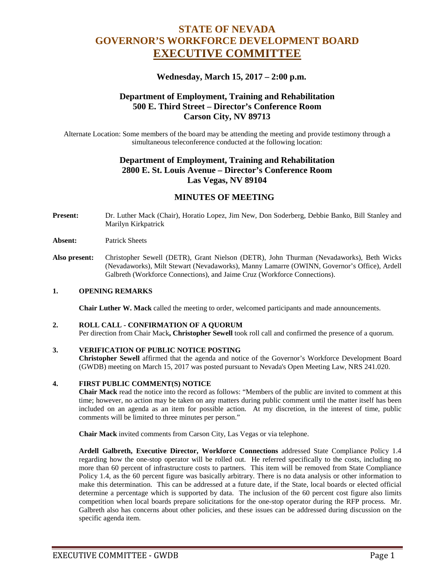# **STATE OF NEVADA GOVERNOR'S WORKFORCE DEVELOPMENT BOARD EXECUTIVE COMMITTEE**

### **Wednesday, March 15, 2017 – 2:00 p.m.**

### **Department of Employment, Training and Rehabilitation 500 E. Third Street – Director's Conference Room Carson City, NV 89713**

Alternate Location: Some members of the board may be attending the meeting and provide testimony through a simultaneous teleconference conducted at the following location:

# **Department of Employment, Training and Rehabilitation 2800 E. St. Louis Avenue – Director's Conference Room Las Vegas, NV 89104**

# **MINUTES OF MEETING**

**Present:** Dr. Luther Mack (Chair), Horatio Lopez, Jim New, Don Soderberg, Debbie Banko, Bill Stanley and Marilyn Kirkpatrick

#### **Absent:** Patrick Sheets

**Also present:** Christopher Sewell (DETR), Grant Nielson (DETR), John Thurman (Nevadaworks), Beth Wicks (Nevadaworks), Milt Stewart (Nevadaworks), Manny Lamarre (OWINN, Governor's Office), Ardell Galbreth (Workforce Connections), and Jaime Cruz (Workforce Connections).

#### **1. OPENING REMARKS**

**Chair Luther W. Mack** called the meeting to order, welcomed participants and made announcements.

#### **2. ROLL CALL - CONFIRMATION OF A QUORUM**

Per direction from Chair Mack**, Christopher Sewell** took roll call and confirmed the presence of a quorum.

#### **3. VERIFICATION OF PUBLIC NOTICE POSTING**

**Christopher Sewell** affirmed that the agenda and notice of the Governor's Workforce Development Board (GWDB) meeting on March 15, 2017 was posted pursuant to Nevada's Open Meeting Law, NRS 241.020.

#### **4. FIRST PUBLIC COMMENT(S) NOTICE**

**Chair Mack** read the notice into the record as follows: "Members of the public are invited to comment at this time; however, no action may be taken on any matters during public comment until the matter itself has been included on an agenda as an item for possible action. At my discretion, in the interest of time, public comments will be limited to three minutes per person."

**Chair Mack** invited comments from Carson City, Las Vegas or via telephone.

**Ardell Galbreth, Executive Director, Workforce Connections** addressed State Compliance Policy 1.4 regarding how the one-stop operator will be rolled out. He referred specifically to the costs, including no more than 60 percent of infrastructure costs to partners. This item will be removed from State Compliance Policy 1.4, as the 60 percent figure was basically arbitrary. There is no data analysis or other information to make this determination. This can be addressed at a future date, if the State, local boards or elected official determine a percentage which is supported by data. The inclusion of the 60 percent cost figure also limits competition when local boards prepare solicitations for the one-stop operator during the RFP process. Mr. Galbreth also has concerns about other policies, and these issues can be addressed during discussion on the specific agenda item.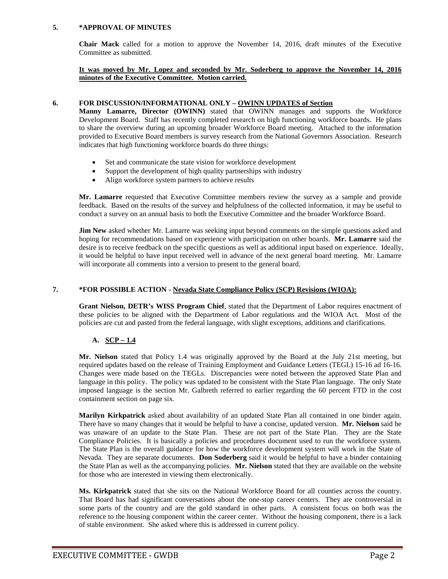#### **5. \*APPROVAL OF MINUTES**

**Chair Mack** called for a motion to approve the November 14, 2016, draft minutes of the Executive Committee as submitted.

#### **It was moved by Mr. Lopez and seconded by Mr. Soderberg to approve the November 14, 2016 minutes of the Executive Committee. Motion carried.**

#### **6. FOR DISCUSSION/INFORMATIONAL ONLY – OWINN UPDATES of Section**

**Manny Lamarre, Director (OWINN)** stated that OWINN manages and supports the Workforce Development Board. Staff has recently completed research on high functioning workforce boards. He plans to share the overview during an upcoming broader Workforce Board meeting. Attached to the information provided to Executive Board members is survey research from the National Governors Association. Research indicates that high functioning workforce boards do three things:

- Set and communicate the state vision for workforce development
- Support the development of high quality partnerships with industry
- Align workforce system partners to achieve results

**Mr. Lamarre** requested that Executive Committee members review the survey as a sample and provide feedback. Based on the results of the survey and helpfulness of the collected information, it may be useful to conduct a survey on an annual basis to both the Executive Committee and the broader Workforce Board.

**Jim New** asked whether Mr. Lamarre was seeking input beyond comments on the simple questions asked and hoping for recommendations based on experience with participation on other boards. **Mr. Lamarre** said the desire is to receive feedback on the specific questions as well as additional input based on experience. Ideally, it would be helpful to have input received well in advance of the next general board meeting. Mr. Lamarre will incorporate all comments into a version to present to the general board.

### **7. \*FOR POSSIBLE ACTION - Nevada State Compliance Policy (SCP) Revisions (WIOA):**

**Grant Nielson, DETR's WISS Program Chief**, stated that the Department of Labor requires enactment of these policies to be aligned with the Department of Labor regulations and the WIOA Act. Most of the policies are cut and pasted from the federal language, with slight exceptions, additions and clarifications.

### **A. SCP – 1.4**

**Mr. Nielson** stated that Policy 1.4 was originally approved by the Board at the July 21st meeting, but required updates based on the release of Training Employment and Guidance Letters (TEGL) 15-16 ad 16-16. Changes were made based on the TEGLs. Discrepancies were noted between the approved State Plan and language in this policy. The policy was updated to be consistent with the State Plan language. The only State imposed language is the section Mr. Galbreth referred to earlier regarding the 60 percent FTD in the cost containment section on page six.

**Marilyn Kirkpatrick** asked about availability of an updated State Plan all contained in one binder again. There have so many changes that it would be helpful to have a concise, updated version. **Mr. Nielson** said he was unaware of an update to the State Plan. These are not part of the State Plan. They are the State Compliance Policies. It is basically a policies and procedures document used to run the workforce system. The State Plan is the overall guidance for how the workforce development system will work in the State of Nevada. They are separate documents. **Don Soderberg** said it would be helpful to have a binder containing the State Plan as well as the accompanying policies. **Mr. Nielson** stated that they are available on the website for those who are interested in viewing them electronically.

**Ms. Kirkpatrick** stated that she sits on the National Workforce Board for all counties across the country. That Board has had significant conversations about the one-stop career centers. They are controversial in some parts of the country and are the gold standard in other parts. A consistent focus on both was the reference to the housing component within the career center. Without the housing component, there is a lack of stable environment. She asked where this is addressed in current policy.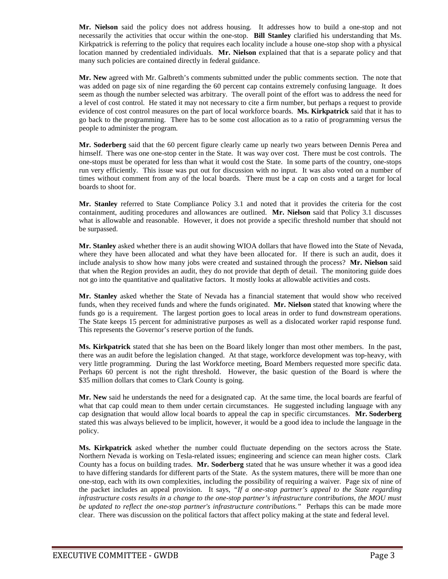**Mr. Nielson** said the policy does not address housing. It addresses how to build a one-stop and not necessarily the activities that occur within the one-stop. **Bill Stanley** clarified his understanding that Ms. Kirkpatrick is referring to the policy that requires each locality include a house one-stop shop with a physical location manned by credentialed individuals. **Mr. Nielson** explained that that is a separate policy and that many such policies are contained directly in federal guidance.

**Mr. New** agreed with Mr. Galbreth's comments submitted under the public comments section. The note that was added on page six of nine regarding the 60 percent cap contains extremely confusing language. It does seem as though the number selected was arbitrary. The overall point of the effort was to address the need for a level of cost control. He stated it may not necessary to cite a firm number, but perhaps a request to provide evidence of cost control measures on the part of local workforce boards. **Ms. Kirkpatrick** said that it has to go back to the programming. There has to be some cost allocation as to a ratio of programming versus the people to administer the program.

**Mr. Soderberg** said that the 60 percent figure clearly came up nearly two years between Dennis Perea and himself. There was one one-stop center in the State. It was way over cost. There must be cost controls. The one-stops must be operated for less than what it would cost the State. In some parts of the country, one-stops run very efficiently. This issue was put out for discussion with no input. It was also voted on a number of times without comment from any of the local boards. There must be a cap on costs and a target for local boards to shoot for.

**Mr. Stanley** referred to State Compliance Policy 3.1 and noted that it provides the criteria for the cost containment, auditing procedures and allowances are outlined. **Mr. Nielson** said that Policy 3.1 discusses what is allowable and reasonable. However, it does not provide a specific threshold number that should not be surpassed.

**Mr. Stanley** asked whether there is an audit showing WIOA dollars that have flowed into the State of Nevada, where they have been allocated and what they have been allocated for. If there is such an audit, does it include analysis to show how many jobs were created and sustained through the process? **Mr. Nielson** said that when the Region provides an audit, they do not provide that depth of detail. The monitoring guide does not go into the quantitative and qualitative factors. It mostly looks at allowable activities and costs.

**Mr. Stanley** asked whether the State of Nevada has a financial statement that would show who received funds, when they received funds and where the funds originated. **Mr. Nielson** stated that knowing where the funds go is a requirement. The largest portion goes to local areas in order to fund downstream operations. The State keeps 15 percent for administrative purposes as well as a dislocated worker rapid response fund. This represents the Governor's reserve portion of the funds.

**Ms. Kirkpatrick** stated that she has been on the Board likely longer than most other members. In the past, there was an audit before the legislation changed. At that stage, workforce development was top-heavy, with very little programming. During the last Workforce meeting, Board Members requested more specific data. Perhaps 60 percent is not the right threshold. However, the basic question of the Board is where the \$35 million dollars that comes to Clark County is going.

**Mr. New** said he understands the need for a designated cap. At the same time, the local boards are fearful of what that cap could mean to them under certain circumstances. He suggested including language with any cap designation that would allow local boards to appeal the cap in specific circumstances. **Mr. Soderberg** stated this was always believed to be implicit, however, it would be a good idea to include the language in the policy.

**Ms. Kirkpatrick** asked whether the number could fluctuate depending on the sectors across the State. Northern Nevada is working on Tesla-related issues; engineering and science can mean higher costs. Clark County has a focus on building trades. **Mr. Soderberg** stated that he was unsure whether it was a good idea to have differing standards for different parts of the State. As the system matures, there will be more than one one-stop, each with its own complexities, including the possibility of requiring a waiver. Page six of nine of the packet includes an appeal provision. It says, *"If a one-stop partner's appeal to the State regarding infrastructure costs results in a change to the one-stop partner's infrastructure contributions, the MOU must be updated to reflect the one-stop partner's infrastructure contributions."* Perhaps this can be made more clear. There was discussion on the political factors that affect policy making at the state and federal level.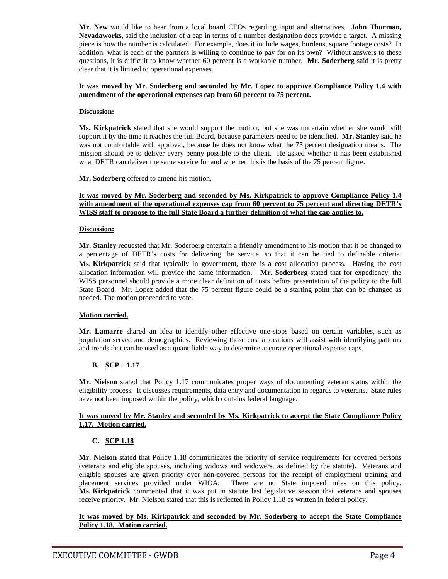**Mr. New** would like to hear from a local board CEOs regarding input and alternatives. **John Thurman, Nevadaworks**, said the inclusion of a cap in terms of a number designation does provide a target. A missing piece is how the number is calculated. For example, does it include wages, burdens, square footage costs? In addition, what is each of the partners is willing to continue to pay for on its own? Without answers to these questions, it is difficult to know whether 60 percent is a workable number. **Mr. Soderberg** said it is pretty clear that it is limited to operational expenses.

#### **It was moved by Mr. Soderberg and seconded by Mr. Lopez to approve Compliance Policy 1.4 with amendment of the operational expenses cap from 60 percent to 75 percent.**

#### **Discussion:**

**Ms. Kirkpatrick** stated that she would support the motion, but she was uncertain whether she would still support it by the time it reaches the full Board, because parameters need to be identified. **Mr. Stanley** said he was not comfortable with approval, because he does not know what the 75 percent designation means. The mission should be to deliver every penny possible to the client. He asked whether it has been established what DETR can deliver the same service for and whether this is the basis of the 75 percent figure.

**Mr. Soderberg** offered to amend his motion.

#### **It was moved by Mr. Soderberg and seconded by Ms. Kirkpatrick to approve Compliance Policy 1.4**  with amendment of the operational expenses cap from 60 percent to 75 percent and directing DETR's **WISS staff to propose to the full State Board a further definition of what the cap applies to.**

#### **Discussion:**

**Mr. Stanley** requested that Mr. Soderberg entertain a friendly amendment to his motion that it be changed to a percentage of DETR's costs for delivering the service, so that it can be tied to definable criteria. **Ms. Kirkpatrick** said that typically in government, there is a cost allocation process. Having the cost allocation information will provide the same information. **Mr. Soderberg** stated that for expediency, the WISS personnel should provide a more clear definition of costs before presentation of the policy to the full State Board. Mr. Lopez added that the 75 percent figure could be a starting point that can be changed as needed. The motion proceeded to vote.

#### **Motion carried.**

**Mr. Lamarre** shared an idea to identify other effective one-stops based on certain variables, such as population served and demographics. Reviewing those cost allocations will assist with identifying patterns and trends that can be used as a quantifiable way to determine accurate operational expense caps.

#### **B. SCP – 1.17**

**Mr. Nielson** stated that Policy 1.17 communicates proper ways of documenting veteran status within the eligibility process. It discusses requirements, data entry and documentation in regards to veterans. State rules have not been imposed within the policy, which contains federal language.

#### **It was moved by Mr. Stanley and seconded by Ms. Kirkpatrick to accept the State Compliance Policy 1.17. Motion carried.**

#### **C. SCP 1.18**

**Mr. Nielson** stated that Policy 1.18 communicates the priority of service requirements for covered persons (veterans and eligible spouses, including widows and widowers, as defined by the statute). Veterans and eligible spouses are given priority over non-covered persons for the receipt of employment training and placement services provided under WIOA. There are no State imposed rules on this policy. **Ms. Kirkpatrick** commented that it was put in statute last legislative session that veterans and spouses receive priority. Mr. Nielson stated that this is reflected in Policy 1.18 as written in federal policy.

#### **It was moved by Ms. Kirkpatrick and seconded by Mr. Soderberg to accept the State Compliance Policy 1.18. Motion carried.**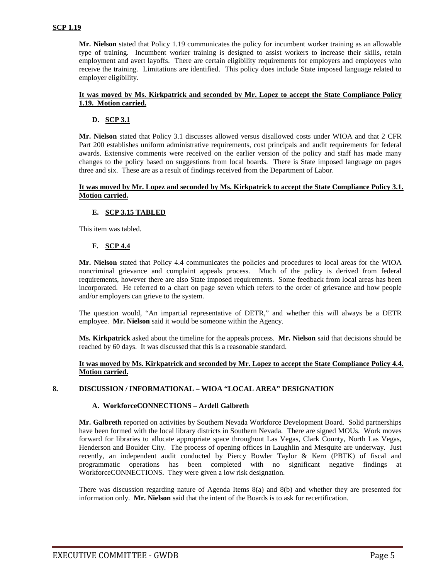**Mr. Nielson** stated that Policy 1.19 communicates the policy for incumbent worker training as an allowable type of training. Incumbent worker training is designed to assist workers to increase their skills, retain employment and avert layoffs. There are certain eligibility requirements for employers and employees who receive the training. Limitations are identified. This policy does include State imposed language related to employer eligibility.

#### **It was moved by Ms. Kirkpatrick and seconded by Mr. Lopez to accept the State Compliance Policy 1.19. Motion carried.**

#### **D. SCP 3.1**

**Mr. Nielson** stated that Policy 3.1 discusses allowed versus disallowed costs under WIOA and that 2 CFR Part 200 establishes uniform administrative requirements, cost principals and audit requirements for federal awards. Extensive comments were received on the earlier version of the policy and staff has made many changes to the policy based on suggestions from local boards. There is State imposed language on pages three and six. These are as a result of findings received from the Department of Labor.

#### **It was moved by Mr. Lopez and seconded by Ms. Kirkpatrick to accept the State Compliance Policy 3.1. Motion carried.**

### **E. SCP 3.15 TABLED**

This item was tabled.

#### **F. SCP 4.4**

**Mr. Nielson** stated that Policy 4.4 communicates the policies and procedures to local areas for the WIOA noncriminal grievance and complaint appeals process. Much of the policy is derived from federal requirements, however there are also State imposed requirements. Some feedback from local areas has been incorporated. He referred to a chart on page seven which refers to the order of grievance and how people and/or employers can grieve to the system.

The question would, "An impartial representative of DETR," and whether this will always be a DETR employee. **Mr. Nielson** said it would be someone within the Agency.

**Ms. Kirkpatrick** asked about the timeline for the appeals process. **Mr. Nielson** said that decisions should be reached by 60 days. It was discussed that this is a reasonable standard.

#### **It was moved by Ms. Kirkpatrick and seconded by Mr. Lopez to accept the State Compliance Policy 4.4. Motion carried.**

#### **8. DISCUSSION / INFORMATIONAL – WIOA "LOCAL AREA" DESIGNATION**

#### **A. WorkforceCONNECTIONS – Ardell Galbreth**

**Mr. Galbreth** reported on activities by Southern Nevada Workforce Development Board. Solid partnerships have been formed with the local library districts in Southern Nevada. There are signed MOUs. Work moves forward for libraries to allocate appropriate space throughout Las Vegas, Clark County, North Las Vegas, Henderson and Boulder City. The process of opening offices in Laughlin and Mesquite are underway. Just recently, an independent audit conducted by Piercy Bowler Taylor & Kern (PBTK) of fiscal and programmatic operations has been completed with no significant negative findings at WorkforceCONNECTIONS. They were given a low risk designation.

There was discussion regarding nature of Agenda Items 8(a) and 8(b) and whether they are presented for information only. **Mr. Nielson** said that the intent of the Boards is to ask for recertification.